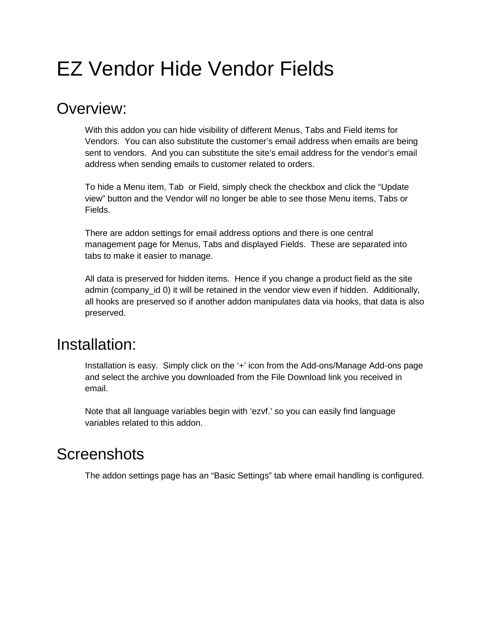# EZ Vendor Hide Vendor Fields

### Overview:

With this addon you can hide visibility of different Menus, Tabs and Field items for Vendors. You can also substitute the customer's email address when emails are being sent to vendors. And you can substitute the site's email address for the vendor's email address when sending emails to customer related to orders.

To hide a Menu item, Tab or Field, simply check the checkbox and click the "Update view" button and the Vendor will no longer be able to see those Menu items, Tabs or Fields.

There are addon settings for email address options and there is one central management page for Menus, Tabs and displayed Fields. These are separated into tabs to make it easier to manage.

All data is preserved for hidden items. Hence if you change a product field as the site admin (company id 0) it will be retained in the vendor view even if hidden. Additionally, all hooks are preserved so if another addon manipulates data via hooks, that data is also preserved.

## Installation:

Installation is easy. Simply click on the '+' icon from the Add-ons/Manage Add-ons page and select the archive you downloaded from the File Download link you received in email.

Note that all language variables begin with 'ezvf.' so you can easily find language variables related to this addon.

### **Screenshots**

The addon settings page has an "Basic Settings" tab where email handling is configured.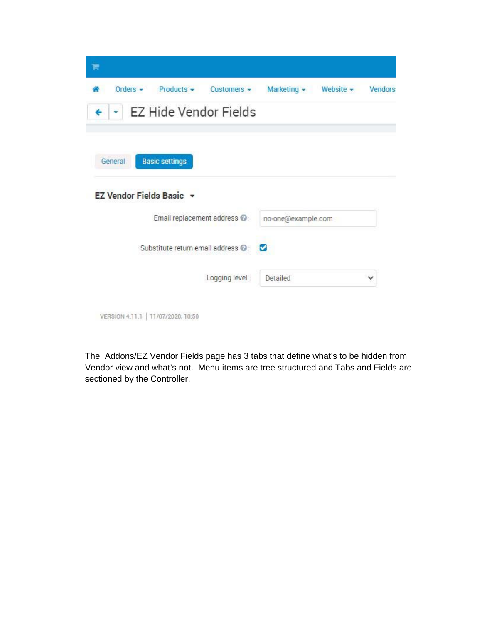| 芹                                                            |                    |                |              |
|--------------------------------------------------------------|--------------------|----------------|--------------|
| Orders $\sim$<br>$Products -$<br>Customers $\sim$            | Marketing -        | Website $\sim$ | Vendors      |
| <b>EZ Hide Vendor Fields</b>                                 |                    |                |              |
| <b>Basic settings</b><br>General<br>EZ Vendor Fields Basic + |                    |                |              |
| Email replacement address <sup>1</sup> .                     |                    |                |              |
|                                                              | no-one@example.com |                |              |
| Substitute return email address @:                           | ◛                  |                |              |
| Logging level:                                               | Detailed           |                | $\checkmark$ |
|                                                              |                    |                |              |

The Addons/EZ Vendor Fields page has 3 tabs that define what's to be hidden from Vendor view and what's not. Menu items are tree structured and Tabs and Fields are sectioned by the Controller.

VERSION 4.11.1 | 11/07/2020, 10:50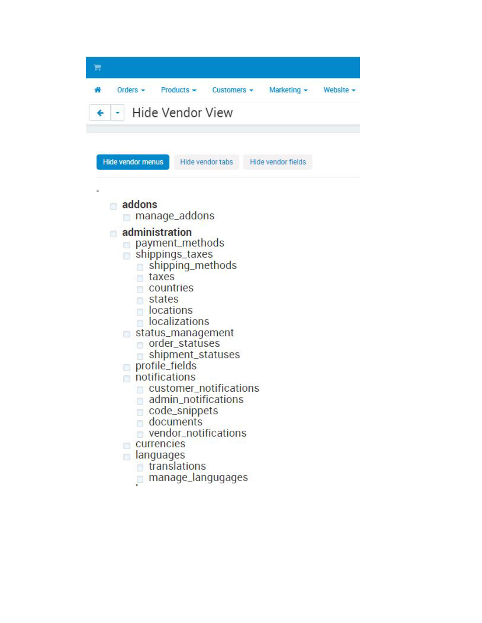| Ħ                                                                                                                                                                            |                                                                                                                                                                                                                                                                 |                           |           |
|------------------------------------------------------------------------------------------------------------------------------------------------------------------------------|-----------------------------------------------------------------------------------------------------------------------------------------------------------------------------------------------------------------------------------------------------------------|---------------------------|-----------|
| Orders $\sim$                                                                                                                                                                | $Products -$<br>$Customers -$<br>Hide Vendor View                                                                                                                                                                                                               | Marketing $\sim$          | Website - |
| <b>Hide vendor menus</b>                                                                                                                                                     | Hide vendor tabs                                                                                                                                                                                                                                                | <b>Hide vendor fields</b> |           |
| addons                                                                                                                                                                       | manage_addons                                                                                                                                                                                                                                                   |                           |           |
| administration<br>m<br>n.<br>taxes<br>countries<br>states<br><b>Cations</b><br>o<br>profile_fields<br>notifications<br>currencies<br>anguages<br>$\blacksquare$ translations | payment_methods<br>shippings_taxes<br>shipping_methods<br>localizations<br>status_management<br>order_statuses<br>shipment_statuses<br>customer_notifications<br>admin_notifications<br>code_snippets<br>documents<br>vendor_notifications<br>manage_langugages |                           |           |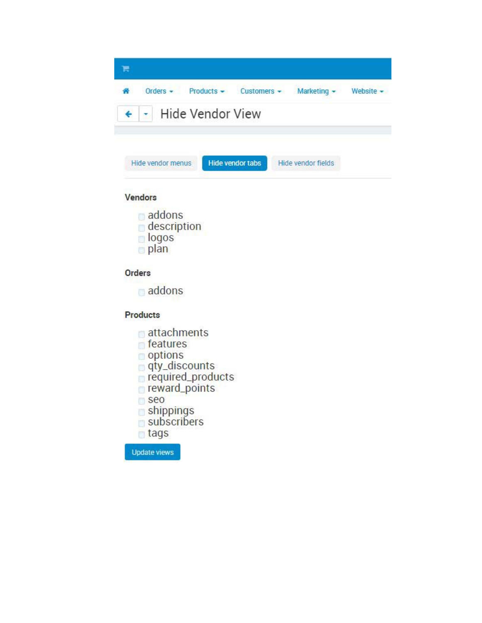

### Vendors

addons  $\blacksquare$  description logos plan

### Orders

addons

#### Products

- attachments
- features
- options
- gty\_discounts
- required\_products
- reward\_points
- seo
- shippings
- subscribers
- tags

**Update views**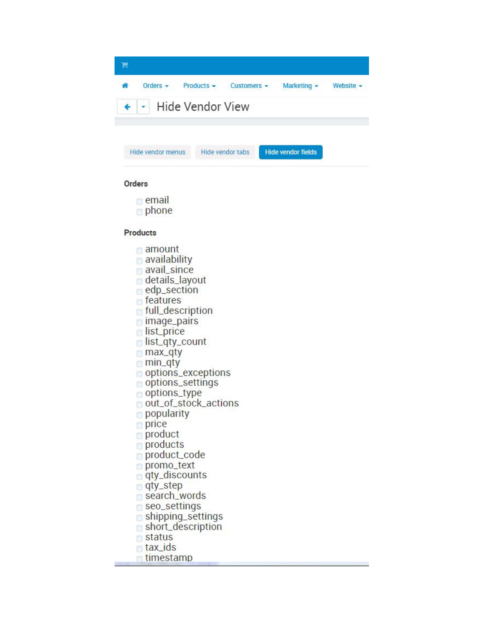| Orders $\sim$ |                          | $Products - Customers -$ | Marketing $\sim$ | Website - |
|---------------|--------------------------|--------------------------|------------------|-----------|
|               | +   -   Hide Vendor View |                          |                  |           |
|               |                          |                          |                  |           |

**Hide vendor fields** 

Hide vendor tabs

#### **Orders**

 $\blacksquare$  email

Hide vendor menus

phone

#### **Products**

- amount
- availability
- avail\_since
- details\_layout
- edp\_section
- features
- full\_description
- $\Box$  image\_pairs
- list\_price
- list\_qty\_count
- max\_qty
- $m$ in\_qty
- options\_exceptions
- options\_settings
- options\_type
- out\_of\_stock\_actions
- popularity
- $p$  price
- product
- products
- product\_code
- promo\_text
- □ qty\_discounts
- gty\_step
- search\_words
- seo\_settings
- shipping\_settings
- short\_description
- status
- tax\_ids
- timestamp